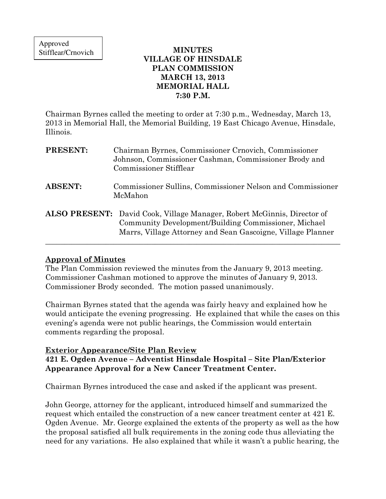## MINUTES VILLAGE OF HINSDALE PLAN COMMISSION MARCH 13, 2013 MEMORIAL HALL 7:30 P.M.

Chairman Byrnes called the meeting to order at 7:30 p.m., Wednesday, March 13, 2013 in Memorial Hall, the Memorial Building, 19 East Chicago Avenue, Hinsdale, Illinois.

| <b>PRESENT:</b> | Chairman Byrnes, Commissioner Crnovich, Commissioner<br>Johnson, Commissioner Cashman, Commissioner Brody and<br>Commissioner Stifflear                                                               |
|-----------------|-------------------------------------------------------------------------------------------------------------------------------------------------------------------------------------------------------|
| <b>ABSENT:</b>  | Commissioner Sullins, Commissioner Nelson and Commissioner<br>McMahon                                                                                                                                 |
|                 | <b>ALSO PRESENT:</b> David Cook, Village Manager, Robert McGinnis, Director of<br>Community Development/Building Commissioner, Michael<br>Marrs, Village Attorney and Sean Gascoigne, Village Planner |

## Approval of Minutes

The Plan Commission reviewed the minutes from the January 9, 2013 meeting. Commissioner Cashman motioned to approve the minutes of January 9, 2013. Commissioner Brody seconded. The motion passed unanimously.

Chairman Byrnes stated that the agenda was fairly heavy and explained how he would anticipate the evening progressing. He explained that while the cases on this evening's agenda were not public hearings, the Commission would entertain comments regarding the proposal.

### Exterior Appearance/Site Plan Review 421 E. Ogden Avenue – Adventist Hinsdale Hospital – Site Plan/Exterior Appearance Approval for a New Cancer Treatment Center.

Chairman Byrnes introduced the case and asked if the applicant was present.

John George, attorney for the applicant, introduced himself and summarized the request which entailed the construction of a new cancer treatment center at 421 E. Ogden Avenue. Mr. George explained the extents of the property as well as the how the proposal satisfied all bulk requirements in the zoning code thus alleviating the need for any variations. He also explained that while it wasn't a public hearing, the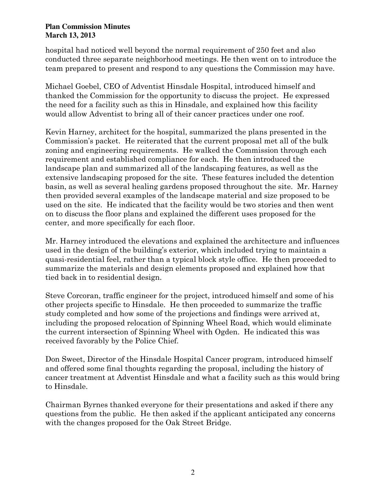hospital had noticed well beyond the normal requirement of 250 feet and also conducted three separate neighborhood meetings. He then went on to introduce the team prepared to present and respond to any questions the Commission may have.

Michael Goebel, CEO of Adventist Hinsdale Hospital, introduced himself and thanked the Commission for the opportunity to discuss the project. He expressed the need for a facility such as this in Hinsdale, and explained how this facility would allow Adventist to bring all of their cancer practices under one roof.

Kevin Harney, architect for the hospital, summarized the plans presented in the Commission's packet. He reiterated that the current proposal met all of the bulk zoning and engineering requirements. He walked the Commission through each requirement and established compliance for each. He then introduced the landscape plan and summarized all of the landscaping features, as well as the extensive landscaping proposed for the site. These features included the detention basin, as well as several healing gardens proposed throughout the site. Mr. Harney then provided several examples of the landscape material and size proposed to be used on the site. He indicated that the facility would be two stories and then went on to discuss the floor plans and explained the different uses proposed for the center, and more specifically for each floor.

Mr. Harney introduced the elevations and explained the architecture and influences used in the design of the building's exterior, which included trying to maintain a quasi-residential feel, rather than a typical block style office. He then proceeded to summarize the materials and design elements proposed and explained how that tied back in to residential design.

Steve Corcoran, traffic engineer for the project, introduced himself and some of his other projects specific to Hinsdale. He then proceeded to summarize the traffic study completed and how some of the projections and findings were arrived at, including the proposed relocation of Spinning Wheel Road, which would eliminate the current intersection of Spinning Wheel with Ogden. He indicated this was received favorably by the Police Chief.

Don Sweet, Director of the Hinsdale Hospital Cancer program, introduced himself and offered some final thoughts regarding the proposal, including the history of cancer treatment at Adventist Hinsdale and what a facility such as this would bring to Hinsdale.

Chairman Byrnes thanked everyone for their presentations and asked if there any questions from the public. He then asked if the applicant anticipated any concerns with the changes proposed for the Oak Street Bridge.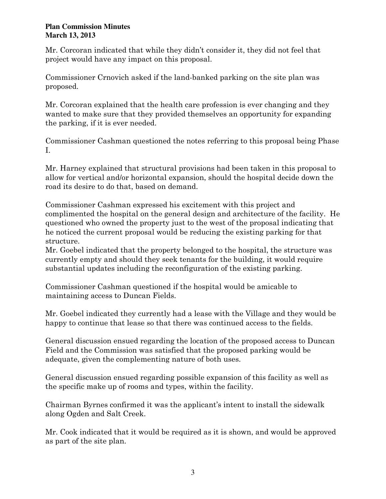Mr. Corcoran indicated that while they didn't consider it, they did not feel that project would have any impact on this proposal.

Commissioner Crnovich asked if the land-banked parking on the site plan was proposed.

Mr. Corcoran explained that the health care profession is ever changing and they wanted to make sure that they provided themselves an opportunity for expanding the parking, if it is ever needed.

Commissioner Cashman questioned the notes referring to this proposal being Phase I.

Mr. Harney explained that structural provisions had been taken in this proposal to allow for vertical and/or horizontal expansion, should the hospital decide down the road its desire to do that, based on demand.

Commissioner Cashman expressed his excitement with this project and complimented the hospital on the general design and architecture of the facility. He questioned who owned the property just to the west of the proposal indicating that he noticed the current proposal would be reducing the existing parking for that structure.

Mr. Goebel indicated that the property belonged to the hospital, the structure was currently empty and should they seek tenants for the building, it would require substantial updates including the reconfiguration of the existing parking.

Commissioner Cashman questioned if the hospital would be amicable to maintaining access to Duncan Fields.

Mr. Goebel indicated they currently had a lease with the Village and they would be happy to continue that lease so that there was continued access to the fields.

General discussion ensued regarding the location of the proposed access to Duncan Field and the Commission was satisfied that the proposed parking would be adequate, given the complementing nature of both uses.

General discussion ensued regarding possible expansion of this facility as well as the specific make up of rooms and types, within the facility.

Chairman Byrnes confirmed it was the applicant's intent to install the sidewalk along Ogden and Salt Creek.

Mr. Cook indicated that it would be required as it is shown, and would be approved as part of the site plan.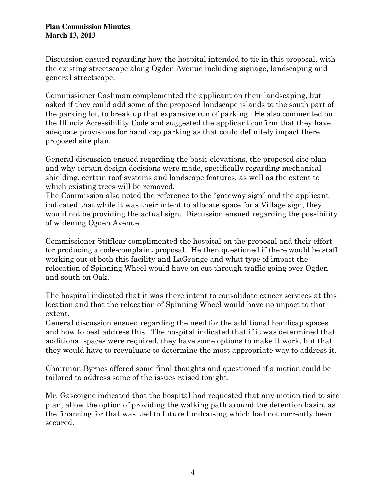Discussion ensued regarding how the hospital intended to tie in this proposal, with the existing streetscape along Ogden Avenue including signage, landscaping and general streetscape.

Commissioner Cashman complemented the applicant on their landscaping, but asked if they could add some of the proposed landscape islands to the south part of the parking lot, to break up that expansive run of parking. He also commented on the Illinois Accessibility Code and suggested the applicant confirm that they have adequate provisions for handicap parking as that could definitely impact there proposed site plan.

General discussion ensued regarding the basic elevations, the proposed site plan and why certain design decisions were made, specifically regarding mechanical shielding, certain roof systems and landscape features, as well as the extent to which existing trees will be removed.

The Commission also noted the reference to the "gateway sign" and the applicant indicated that while it was their intent to allocate space for a Village sign, they would not be providing the actual sign. Discussion ensued regarding the possibility of widening Ogden Avenue.

Commissioner Stifflear complimented the hospital on the proposal and their effort for producing a code-complaint proposal. He then questioned if there would be staff working out of both this facility and LaGrange and what type of impact the relocation of Spinning Wheel would have on cut through traffic going over Ogden and south on Oak.

The hospital indicated that it was there intent to consolidate cancer services at this location and that the relocation of Spinning Wheel would have no impact to that extent.

General discussion ensued regarding the need for the additional handicap spaces and how to best address this. The hospital indicated that if it was determined that additional spaces were required, they have some options to make it work, but that they would have to reevaluate to determine the most appropriate way to address it.

Chairman Byrnes offered some final thoughts and questioned if a motion could be tailored to address some of the issues raised tonight.

Mr. Gascoigne indicated that the hospital had requested that any motion tied to site plan, allow the option of providing the walking path around the detention basin, as the financing for that was tied to future fundraising which had not currently been secured.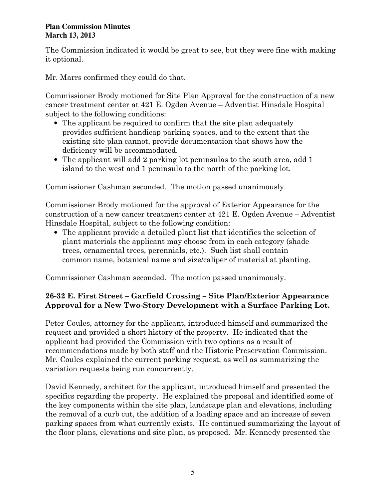The Commission indicated it would be great to see, but they were fine with making it optional.

Mr. Marrs confirmed they could do that.

Commissioner Brody motioned for Site Plan Approval for the construction of a new cancer treatment center at 421 E. Ogden Avenue – Adventist Hinsdale Hospital subject to the following conditions:

- The applicant be required to confirm that the site plan adequately provides sufficient handicap parking spaces, and to the extent that the existing site plan cannot, provide documentation that shows how the deficiency will be accommodated.
- The applicant will add 2 parking lot peninsulas to the south area, add 1 island to the west and 1 peninsula to the north of the parking lot.

Commissioner Cashman seconded. The motion passed unanimously.

Commissioner Brody motioned for the approval of Exterior Appearance for the construction of a new cancer treatment center at 421 E. Ogden Avenue – Adventist Hinsdale Hospital, subject to the following condition:

• The applicant provide a detailed plant list that identifies the selection of plant materials the applicant may choose from in each category (shade trees, ornamental trees, perennials, etc.). Such list shall contain common name, botanical name and size/caliper of material at planting.

Commissioner Cashman seconded. The motion passed unanimously.

# 26-32 E. First Street – Garfield Crossing – Site Plan/Exterior Appearance Approval for a New Two-Story Development with a Surface Parking Lot.

Peter Coules, attorney for the applicant, introduced himself and summarized the request and provided a short history of the property. He indicated that the applicant had provided the Commission with two options as a result of recommendations made by both staff and the Historic Preservation Commission. Mr. Coules explained the current parking request, as well as summarizing the variation requests being run concurrently.

David Kennedy, architect for the applicant, introduced himself and presented the specifics regarding the property. He explained the proposal and identified some of the key components within the site plan, landscape plan and elevations, including the removal of a curb cut, the addition of a loading space and an increase of seven parking spaces from what currently exists. He continued summarizing the layout of the floor plans, elevations and site plan, as proposed. Mr. Kennedy presented the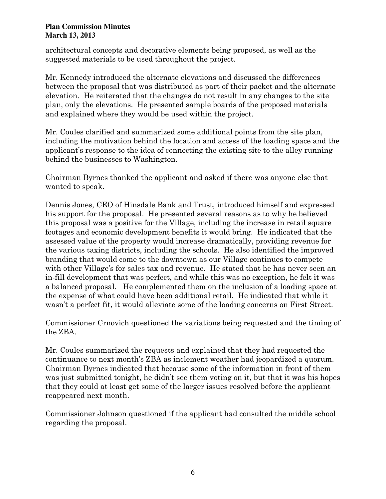architectural concepts and decorative elements being proposed, as well as the suggested materials to be used throughout the project.

Mr. Kennedy introduced the alternate elevations and discussed the differences between the proposal that was distributed as part of their packet and the alternate elevation. He reiterated that the changes do not result in any changes to the site plan, only the elevations. He presented sample boards of the proposed materials and explained where they would be used within the project.

Mr. Coules clarified and summarized some additional points from the site plan, including the motivation behind the location and access of the loading space and the applicant's response to the idea of connecting the existing site to the alley running behind the businesses to Washington.

Chairman Byrnes thanked the applicant and asked if there was anyone else that wanted to speak.

Dennis Jones, CEO of Hinsdale Bank and Trust, introduced himself and expressed his support for the proposal. He presented several reasons as to why he believed this proposal was a positive for the Village, including the increase in retail square footages and economic development benefits it would bring. He indicated that the assessed value of the property would increase dramatically, providing revenue for the various taxing districts, including the schools. He also identified the improved branding that would come to the downtown as our Village continues to compete with other Village's for sales tax and revenue. He stated that he has never seen an in-fill development that was perfect, and while this was no exception, he felt it was a balanced proposal. He complemented them on the inclusion of a loading space at the expense of what could have been additional retail. He indicated that while it wasn't a perfect fit, it would alleviate some of the loading concerns on First Street.

Commissioner Crnovich questioned the variations being requested and the timing of the ZBA.

Mr. Coules summarized the requests and explained that they had requested the continuance to next month's ZBA as inclement weather had jeopardized a quorum. Chairman Byrnes indicated that because some of the information in front of them was just submitted tonight, he didn't see them voting on it, but that it was his hopes that they could at least get some of the larger issues resolved before the applicant reappeared next month.

Commissioner Johnson questioned if the applicant had consulted the middle school regarding the proposal.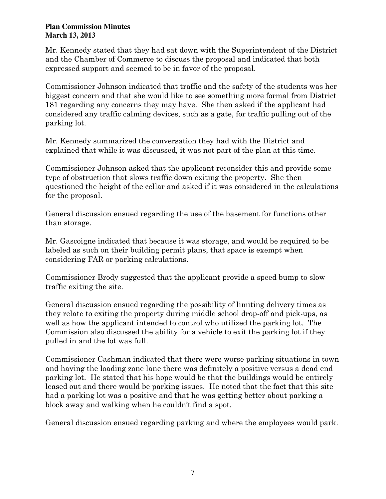Mr. Kennedy stated that they had sat down with the Superintendent of the District and the Chamber of Commerce to discuss the proposal and indicated that both expressed support and seemed to be in favor of the proposal.

Commissioner Johnson indicated that traffic and the safety of the students was her biggest concern and that she would like to see something more formal from District 181 regarding any concerns they may have. She then asked if the applicant had considered any traffic calming devices, such as a gate, for traffic pulling out of the parking lot.

Mr. Kennedy summarized the conversation they had with the District and explained that while it was discussed, it was not part of the plan at this time.

Commissioner Johnson asked that the applicant reconsider this and provide some type of obstruction that slows traffic down exiting the property. She then questioned the height of the cellar and asked if it was considered in the calculations for the proposal.

General discussion ensued regarding the use of the basement for functions other than storage.

Mr. Gascoigne indicated that because it was storage, and would be required to be labeled as such on their building permit plans, that space is exempt when considering FAR or parking calculations.

Commissioner Brody suggested that the applicant provide a speed bump to slow traffic exiting the site.

General discussion ensued regarding the possibility of limiting delivery times as they relate to exiting the property during middle school drop-off and pick-ups, as well as how the applicant intended to control who utilized the parking lot. The Commission also discussed the ability for a vehicle to exit the parking lot if they pulled in and the lot was full.

Commissioner Cashman indicated that there were worse parking situations in town and having the loading zone lane there was definitely a positive versus a dead end parking lot. He stated that his hope would be that the buildings would be entirely leased out and there would be parking issues. He noted that the fact that this site had a parking lot was a positive and that he was getting better about parking a block away and walking when he couldn't find a spot.

General discussion ensued regarding parking and where the employees would park.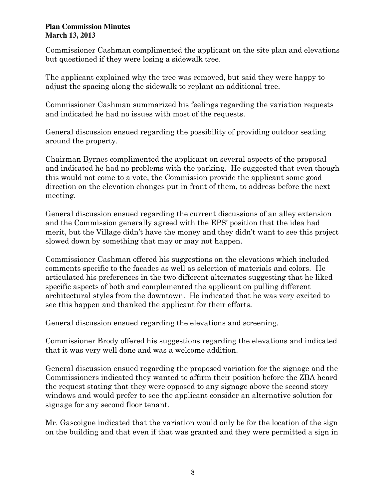Commissioner Cashman complimented the applicant on the site plan and elevations but questioned if they were losing a sidewalk tree.

The applicant explained why the tree was removed, but said they were happy to adjust the spacing along the sidewalk to replant an additional tree.

Commissioner Cashman summarized his feelings regarding the variation requests and indicated he had no issues with most of the requests.

General discussion ensued regarding the possibility of providing outdoor seating around the property.

Chairman Byrnes complimented the applicant on several aspects of the proposal and indicated he had no problems with the parking. He suggested that even though this would not come to a vote, the Commission provide the applicant some good direction on the elevation changes put in front of them, to address before the next meeting.

General discussion ensued regarding the current discussions of an alley extension and the Commission generally agreed with the EPS' position that the idea had merit, but the Village didn't have the money and they didn't want to see this project slowed down by something that may or may not happen.

Commissioner Cashman offered his suggestions on the elevations which included comments specific to the facades as well as selection of materials and colors. He articulated his preferences in the two different alternates suggesting that he liked specific aspects of both and complemented the applicant on pulling different architectural styles from the downtown. He indicated that he was very excited to see this happen and thanked the applicant for their efforts.

General discussion ensued regarding the elevations and screening.

Commissioner Brody offered his suggestions regarding the elevations and indicated that it was very well done and was a welcome addition.

General discussion ensued regarding the proposed variation for the signage and the Commissioners indicated they wanted to affirm their position before the ZBA heard the request stating that they were opposed to any signage above the second story windows and would prefer to see the applicant consider an alternative solution for signage for any second floor tenant.

Mr. Gascoigne indicated that the variation would only be for the location of the sign on the building and that even if that was granted and they were permitted a sign in